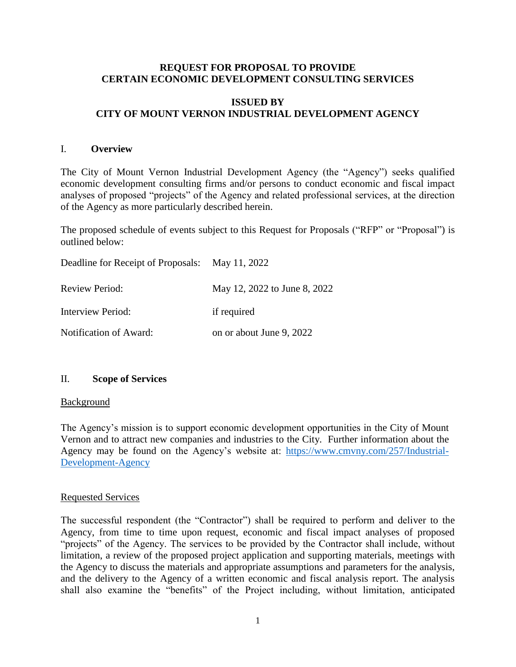#### **REQUEST FOR PROPOSAL TO PROVIDE CERTAIN ECONOMIC DEVELOPMENT CONSULTING SERVICES**

#### **ISSUED BY CITY OF MOUNT VERNON INDUSTRIAL DEVELOPMENT AGENCY**

#### I. **Overview**

The City of Mount Vernon Industrial Development Agency (the "Agency") seeks qualified economic development consulting firms and/or persons to conduct economic and fiscal impact analyses of proposed "projects" of the Agency and related professional services, at the direction of the Agency as more particularly described herein.

The proposed schedule of events subject to this Request for Proposals ("RFP" or "Proposal") is outlined below:

| Deadline for Receipt of Proposals: May 11, 2022 |                              |
|-------------------------------------------------|------------------------------|
| <b>Review Period:</b>                           | May 12, 2022 to June 8, 2022 |
| Interview Period:                               | if required                  |
| Notification of Award:                          | on or about June 9, 2022     |

#### II. **Scope of Services**

#### **Background**

The Agency's mission is to support economic development opportunities in the City of Mount Vernon and to attract new companies and industries to the City. Further information about the Agency may be found on the Agency's website at: [https://www.cmvny.com/257/Industrial-](https://www.cmvny.com/257/Industrial-Development-Agency)[Development-Agency](https://www.cmvny.com/257/Industrial-Development-Agency)

#### Requested Services

The successful respondent (the "Contractor") shall be required to perform and deliver to the Agency, from time to time upon request, economic and fiscal impact analyses of proposed "projects" of the Agency. The services to be provided by the Contractor shall include, without limitation, a review of the proposed project application and supporting materials, meetings with the Agency to discuss the materials and appropriate assumptions and parameters for the analysis, and the delivery to the Agency of a written economic and fiscal analysis report. The analysis shall also examine the "benefits" of the Project including, without limitation, anticipated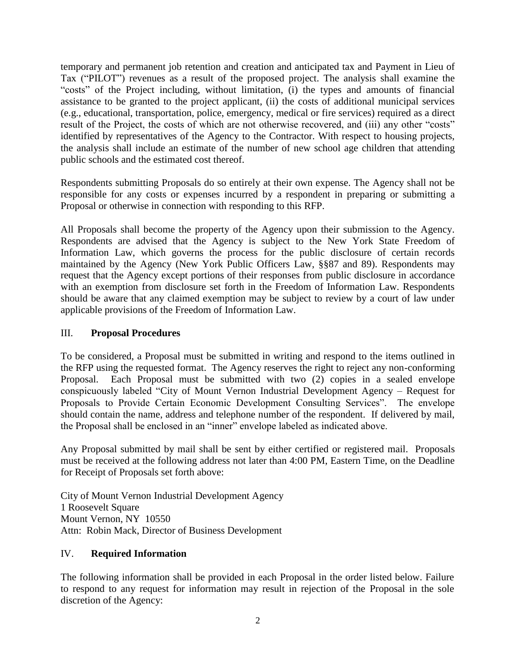temporary and permanent job retention and creation and anticipated tax and Payment in Lieu of Tax ("PILOT") revenues as a result of the proposed project. The analysis shall examine the "costs" of the Project including, without limitation, (i) the types and amounts of financial assistance to be granted to the project applicant, (ii) the costs of additional municipal services (e.g., educational, transportation, police, emergency, medical or fire services) required as a direct result of the Project, the costs of which are not otherwise recovered, and (iii) any other "costs" identified by representatives of the Agency to the Contractor. With respect to housing projects, the analysis shall include an estimate of the number of new school age children that attending public schools and the estimated cost thereof.

Respondents submitting Proposals do so entirely at their own expense. The Agency shall not be responsible for any costs or expenses incurred by a respondent in preparing or submitting a Proposal or otherwise in connection with responding to this RFP.

All Proposals shall become the property of the Agency upon their submission to the Agency. Respondents are advised that the Agency is subject to the New York State Freedom of Information Law, which governs the process for the public disclosure of certain records maintained by the Agency (New York Public Officers Law, §§87 and 89). Respondents may request that the Agency except portions of their responses from public disclosure in accordance with an exemption from disclosure set forth in the Freedom of Information Law. Respondents should be aware that any claimed exemption may be subject to review by a court of law under applicable provisions of the Freedom of Information Law.

#### III. **Proposal Procedures**

To be considered, a Proposal must be submitted in writing and respond to the items outlined in the RFP using the requested format. The Agency reserves the right to reject any non-conforming Proposal. Each Proposal must be submitted with two (2) copies in a sealed envelope conspicuously labeled "City of Mount Vernon Industrial Development Agency – Request for Proposals to Provide Certain Economic Development Consulting Services". The envelope should contain the name, address and telephone number of the respondent. If delivered by mail, the Proposal shall be enclosed in an "inner" envelope labeled as indicated above.

Any Proposal submitted by mail shall be sent by either certified or registered mail. Proposals must be received at the following address not later than 4:00 PM, Eastern Time, on the Deadline for Receipt of Proposals set forth above:

City of Mount Vernon Industrial Development Agency 1 Roosevelt Square Mount Vernon, NY 10550 Attn: Robin Mack, Director of Business Development

## IV. **Required Information**

The following information shall be provided in each Proposal in the order listed below. Failure to respond to any request for information may result in rejection of the Proposal in the sole discretion of the Agency: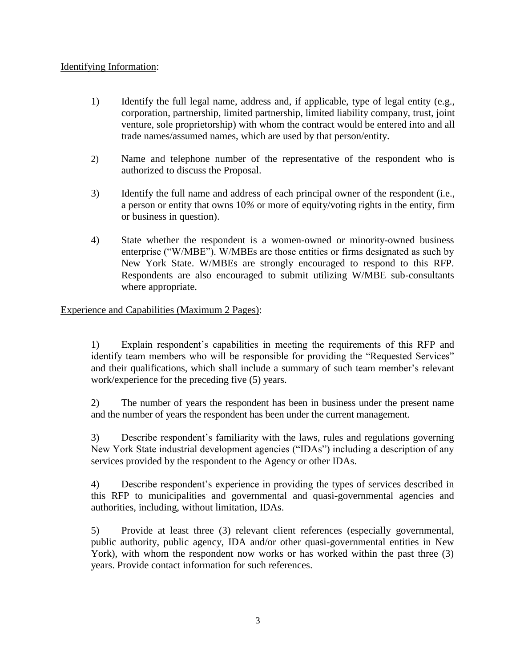## Identifying Information:

- 1) Identify the full legal name, address and, if applicable, type of legal entity (e.g., corporation, partnership, limited partnership, limited liability company, trust, joint venture, sole proprietorship) with whom the contract would be entered into and all trade names/assumed names, which are used by that person/entity.
- 2) Name and telephone number of the representative of the respondent who is authorized to discuss the Proposal.
- 3) Identify the full name and address of each principal owner of the respondent (i.e., a person or entity that owns 10*%* or more of equity/voting rights in the entity, firm or business in question).
- 4) State whether the respondent is a women-owned or minority-owned business enterprise ("W/MBE"). W/MBEs are those entities or firms designated as such by New York State. W/MBEs are strongly encouraged to respond to this RFP. Respondents are also encouraged to submit utilizing W/MBE sub-consultants where appropriate.

# Experience and Capabilities (Maximum 2 Pages):

1) Explain respondent's capabilities in meeting the requirements of this RFP and identify team members who will be responsible for providing the "Requested Services" and their qualifications, which shall include a summary of such team member's relevant work/experience for the preceding five (5) years.

2) The number of years the respondent has been in business under the present name and the number of years the respondent has been under the current management.

3) Describe respondent's familiarity with the laws, rules and regulations governing New York State industrial development agencies ("IDAs") including a description of any services provided by the respondent to the Agency or other IDAs.

4) Describe respondent's experience in providing the types of services described in this RFP to municipalities and governmental and quasi-governmental agencies and authorities, including, without limitation, IDAs.

5) Provide at least three (3) relevant client references (especially governmental, public authority, public agency, IDA and/or other quasi-governmental entities in New York), with whom the respondent now works or has worked within the past three  $(3)$ years. Provide contact information for such references.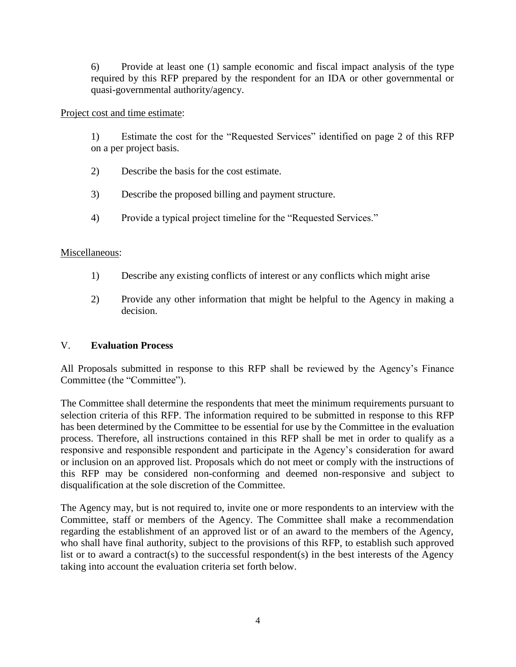6) Provide at least one (1) sample economic and fiscal impact analysis of the type required by this RFP prepared by the respondent for an IDA or other governmental or quasi-governmental authority/agency.

#### Project cost and time estimate:

1) Estimate the cost for the "Requested Services" identified on page 2 of this RFP on a per project basis.

- 2) Describe the basis for the cost estimate.
- 3) Describe the proposed billing and payment structure.
- 4) Provide a typical project timeline for the "Requested Services."

## Miscellaneous:

- 1) Describe any existing conflicts of interest or any conflicts which might arise
- 2) Provide any other information that might be helpful to the Agency in making a decision.

## V. **Evaluation Process**

All Proposals submitted in response to this RFP shall be reviewed by the Agency's Finance Committee (the "Committee").

The Committee shall determine the respondents that meet the minimum requirements pursuant to selection criteria of this RFP. The information required to be submitted in response to this RFP has been determined by the Committee to be essential for use by the Committee in the evaluation process. Therefore, all instructions contained in this RFP shall be met in order to qualify as a responsive and responsible respondent and participate in the Agency's consideration for award or inclusion on an approved list. Proposals which do not meet or comply with the instructions of this RFP may be considered non-conforming and deemed non-responsive and subject to disqualification at the sole discretion of the Committee.

The Agency may, but is not required to, invite one or more respondents to an interview with the Committee, staff or members of the Agency. The Committee shall make a recommendation regarding the establishment of an approved list or of an award to the members of the Agency, who shall have final authority, subject to the provisions of this RFP, to establish such approved list or to award a contract(s) to the successful respondent(s) in the best interests of the Agency taking into account the evaluation criteria set forth below.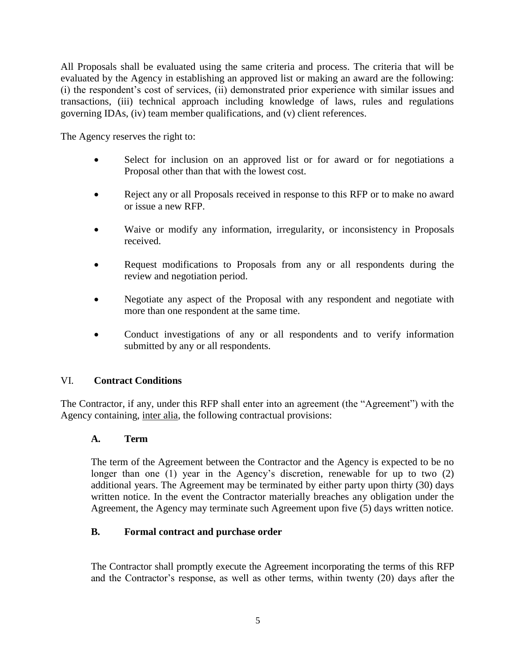All Proposals shall be evaluated using the same criteria and process. The criteria that will be evaluated by the Agency in establishing an approved list or making an award are the following: (i) the respondent's cost of services, (ii) demonstrated prior experience with similar issues and transactions, (iii) technical approach including knowledge of laws, rules and regulations governing IDAs, (iv) team member qualifications, and (v) client references.

The Agency reserves the right to:

- Select for inclusion on an approved list or for award or for negotiations a Proposal other than that with the lowest cost.
- Reject any or all Proposals received in response to this RFP or to make no award or issue a new RFP.
- Waive or modify any information, irregularity, or inconsistency in Proposals received.
- Request modifications to Proposals from any or all respondents during the review and negotiation period.
- Negotiate any aspect of the Proposal with any respondent and negotiate with more than one respondent at the same time.
- Conduct investigations of any or all respondents and to verify information submitted by any or all respondents.

## VI. **Contract Conditions**

The Contractor, if any, under this RFP shall enter into an agreement (the "Agreement") with the Agency containing, inter alia, the following contractual provisions:

#### **A. Term**

The term of the Agreement between the Contractor and the Agency is expected to be no longer than one (1) year in the Agency's discretion, renewable for up to two (2) additional years. The Agreement may be terminated by either party upon thirty (30) days written notice. In the event the Contractor materially breaches any obligation under the Agreement, the Agency may terminate such Agreement upon five (5) days written notice.

#### **B. Formal contract and purchase order**

The Contractor shall promptly execute the Agreement incorporating the terms of this RFP and the Contractor's response, as well as other terms, within twenty (20) days after the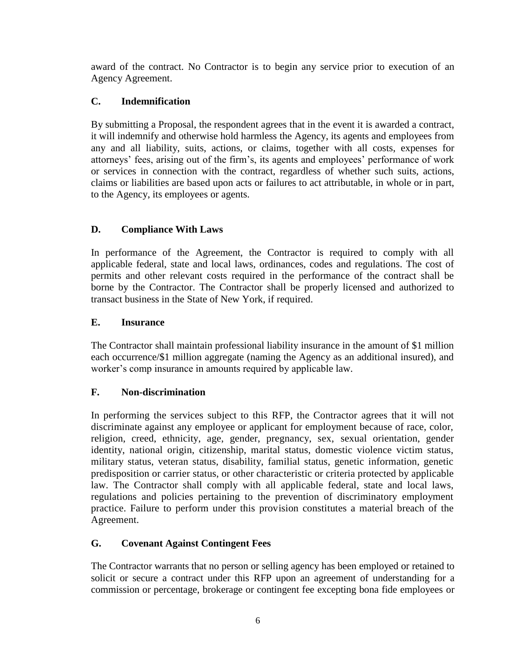award of the contract. No Contractor is to begin any service prior to execution of an Agency Agreement.

# **C. Indemnification**

By submitting a Proposal, the respondent agrees that in the event it is awarded a contract, it will indemnify and otherwise hold harmless the Agency, its agents and employees from any and all liability, suits, actions, or claims, together with all costs, expenses for attorneys' fees, arising out of the firm's, its agents and employees' performance of work or services in connection with the contract, regardless of whether such suits, actions, claims or liabilities are based upon acts or failures to act attributable, in whole or in part, to the Agency, its employees or agents.

# **D. Compliance With Laws**

In performance of the Agreement, the Contractor is required to comply with all applicable federal, state and local laws, ordinances, codes and regulations. The cost of permits and other relevant costs required in the performance of the contract shall be borne by the Contractor. The Contractor shall be properly licensed and authorized to transact business in the State of New York, if required.

# **E. Insurance**

The Contractor shall maintain professional liability insurance in the amount of \$1 million each occurrence/\$1 million aggregate (naming the Agency as an additional insured), and worker's comp insurance in amounts required by applicable law.

# **F. Non-discrimination**

In performing the services subject to this RFP, the Contractor agrees that it will not discriminate against any employee or applicant for employment because of race, color, religion, creed, ethnicity, age, gender, pregnancy, sex, sexual orientation, gender identity, national origin, citizenship, marital status, domestic violence victim status, military status, veteran status, disability, familial status, genetic information, genetic predisposition or carrier status, or other characteristic or criteria protected by applicable law. The Contractor shall comply with all applicable federal, state and local laws, regulations and policies pertaining to the prevention of discriminatory employment practice. Failure to perform under this provision constitutes a material breach of the Agreement.

## **G. Covenant Against Contingent Fees**

The Contractor warrants that no person or selling agency has been employed or retained to solicit or secure a contract under this RFP upon an agreement of understanding for a commission or percentage, brokerage or contingent fee excepting bona fide employees or